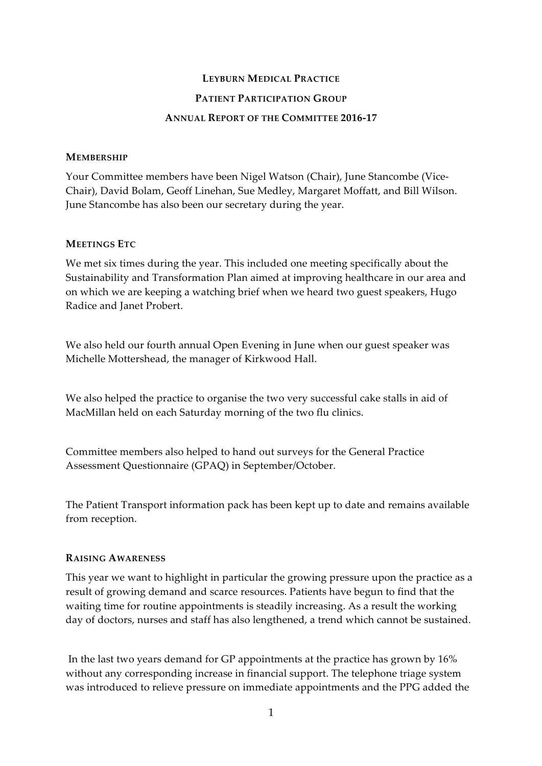## **LEYBURN MEDICAL PRACTICE**

## **PATIENT PARTICIPATION GROUP**

#### **ANNUAL REPORT OF THE COMMITTEE 2016-17**

#### **MEMBERSHIP**

Your Committee members have been Nigel Watson (Chair), June Stancombe (Vice-Chair), David Bolam, Geoff Linehan, Sue Medley, Margaret Moffatt, and Bill Wilson. June Stancombe has also been our secretary during the year.

#### **MEETINGS ETC**

We met six times during the year. This included one meeting specifically about the Sustainability and Transformation Plan aimed at improving healthcare in our area and on which we are keeping a watching brief when we heard two guest speakers, Hugo Radice and Janet Probert.

We also held our fourth annual Open Evening in June when our guest speaker was Michelle Mottershead, the manager of Kirkwood Hall.

We also helped the practice to organise the two very successful cake stalls in aid of MacMillan held on each Saturday morning of the two flu clinics.

Committee members also helped to hand out surveys for the General Practice Assessment Questionnaire (GPAQ) in September/October.

The Patient Transport information pack has been kept up to date and remains available from reception.

## **RAISING AWARENESS**

This year we want to highlight in particular the growing pressure upon the practice as a result of growing demand and scarce resources. Patients have begun to find that the waiting time for routine appointments is steadily increasing. As a result the working day of doctors, nurses and staff has also lengthened, a trend which cannot be sustained.

In the last two years demand for GP appointments at the practice has grown by 16% without any corresponding increase in financial support. The telephone triage system was introduced to relieve pressure on immediate appointments and the PPG added the